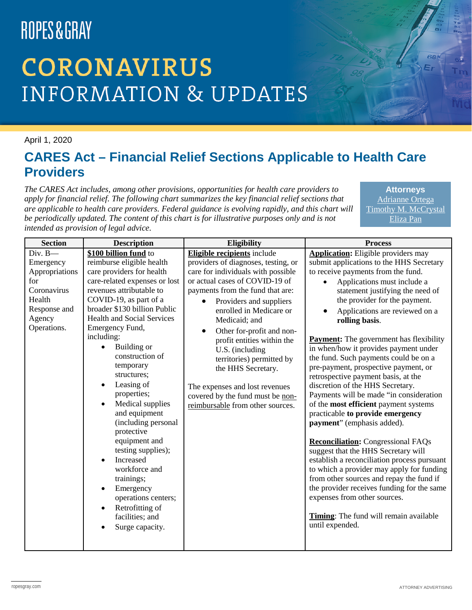# **CORONAVIRUS INFORMATION & UPDATES**

#### April 1, 2020

#### **CARES Act – Financial Relief Sections Applicable to Health Care Providers**

*The CARES Act includes, among other provisions, opportunities for health care providers to apply for financial relief. The following chart summarizes the key financial relief sections that are applicable to health care providers. Federal guidance is evolving rapidly, and this chart will be periodically updated. The content of this chart is for illustrative purposes only and is not intended as provision of legal advice.*

**Attorneys** [Adrianne Ortega](https://www.ropesgray.com/en/biographies/o/adrianne-ortega) [Timothy M. McCrystal](https://www.ropesgray.com/en/biographies/m/timothy-m-mccrystal) [Eliza Pan](https://www.ropesgray.com/en/biographies/p/eliza-pan)

| <b>Section</b>                                                                                                     | <b>Description</b>                                                                                                                                                                                                                                                                                                                                                                                                                                                                                                                                                                                                                             | Eligibility                                                                                                                                                                                                                                                                                                                                                                                                                                                                                                          | <b>Process</b>                                                                                                                                                                                                                                                                                                                                                                                                                                                                                                                                                                                                                                                                                                                                                                                                                                                                                                                                                                                                                                                           |
|--------------------------------------------------------------------------------------------------------------------|------------------------------------------------------------------------------------------------------------------------------------------------------------------------------------------------------------------------------------------------------------------------------------------------------------------------------------------------------------------------------------------------------------------------------------------------------------------------------------------------------------------------------------------------------------------------------------------------------------------------------------------------|----------------------------------------------------------------------------------------------------------------------------------------------------------------------------------------------------------------------------------------------------------------------------------------------------------------------------------------------------------------------------------------------------------------------------------------------------------------------------------------------------------------------|--------------------------------------------------------------------------------------------------------------------------------------------------------------------------------------------------------------------------------------------------------------------------------------------------------------------------------------------------------------------------------------------------------------------------------------------------------------------------------------------------------------------------------------------------------------------------------------------------------------------------------------------------------------------------------------------------------------------------------------------------------------------------------------------------------------------------------------------------------------------------------------------------------------------------------------------------------------------------------------------------------------------------------------------------------------------------|
| $Div. B -$<br>Emergency<br>Appropriations<br>for<br>Coronavirus<br>Health<br>Response and<br>Agency<br>Operations. | \$100 billion fund to<br>reimburse eligible health<br>care providers for health<br>care-related expenses or lost<br>revenues attributable to<br>COVID-19, as part of a<br>broader \$130 billion Public<br><b>Health and Social Services</b><br>Emergency Fund,<br>including:<br>Building or<br>construction of<br>temporary<br>structures;<br>Leasing of<br>properties;<br>Medical supplies<br>$\bullet$<br>and equipment<br>(including personal<br>protective<br>equipment and<br>testing supplies);<br>Increased<br>workforce and<br>trainings;<br>Emergency<br>operations centers;<br>Retrofitting of<br>facilities; and<br>Surge capacity. | <b>Eligible recipients</b> include<br>providers of diagnoses, testing, or<br>care for individuals with possible<br>or actual cases of COVID-19 of<br>payments from the fund that are:<br>Providers and suppliers<br>enrolled in Medicare or<br>Medicaid; and<br>Other for-profit and non-<br>$\bullet$<br>profit entities within the<br>U.S. (including<br>territories) permitted by<br>the HHS Secretary.<br>The expenses and lost revenues<br>covered by the fund must be non-<br>reimbursable from other sources. | <b>Application:</b> Eligible providers may<br>submit applications to the HHS Secretary<br>to receive payments from the fund.<br>Applications must include a<br>statement justifying the need of<br>the provider for the payment.<br>Applications are reviewed on a<br>rolling basis.<br><b>Payment:</b> The government has flexibility<br>in when/how it provides payment under<br>the fund. Such payments could be on a<br>pre-payment, prospective payment, or<br>retrospective payment basis, at the<br>discretion of the HHS Secretary.<br>Payments will be made "in consideration<br>of the most efficient payment systems<br>practicable to provide emergency<br>payment" (emphasis added).<br><b>Reconciliation:</b> Congressional FAQs<br>suggest that the HHS Secretary will<br>establish a reconciliation process pursuant<br>to which a provider may apply for funding<br>from other sources and repay the fund if<br>the provider receives funding for the same<br>expenses from other sources.<br>Timing: The fund will remain available<br>until expended. |
|                                                                                                                    |                                                                                                                                                                                                                                                                                                                                                                                                                                                                                                                                                                                                                                                |                                                                                                                                                                                                                                                                                                                                                                                                                                                                                                                      |                                                                                                                                                                                                                                                                                                                                                                                                                                                                                                                                                                                                                                                                                                                                                                                                                                                                                                                                                                                                                                                                          |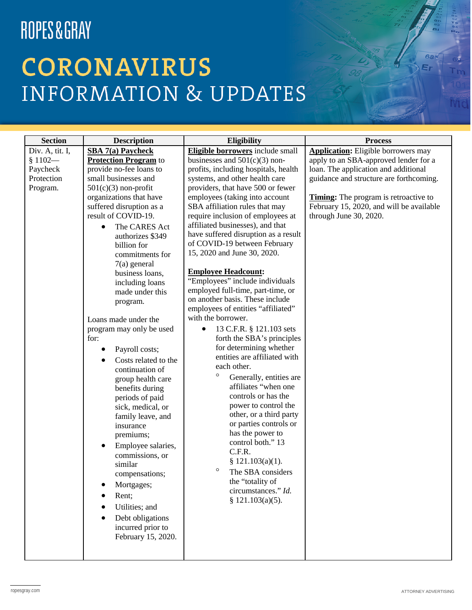# **CORONAVIRUS INFORMATION & UPDATES**

| <b>Section</b>  | <b>Description</b>           | <b>Eligibility</b>                                                   | <b>Process</b>                               |
|-----------------|------------------------------|----------------------------------------------------------------------|----------------------------------------------|
| Div. A, tit. I, | <b>SBA 7(a) Paycheck</b>     | <b>Eligible borrowers</b> include small                              | <b>Application:</b> Eligible borrowers may   |
| $$1102-$        | <b>Protection Program</b> to | businesses and $501(c)(3)$ non-                                      | apply to an SBA-approved lender for a        |
| Paycheck        | provide no-fee loans to      | profits, including hospitals, health                                 | loan. The application and additional         |
| Protection      | small businesses and         | systems, and other health care                                       | guidance and structure are forthcoming.      |
| Program.        | $501(c)(3)$ non-profit       | providers, that have 500 or fewer                                    |                                              |
|                 | organizations that have      | employees (taking into account                                       | <b>Timing:</b> The program is retroactive to |
|                 | suffered disruption as a     | SBA affiliation rules that may                                       | February 15, 2020, and will be available     |
|                 | result of COVID-19.          | require inclusion of employees at                                    | through June 30, 2020.                       |
|                 | The CARES Act<br>$\bullet$   | affiliated businesses), and that                                     |                                              |
|                 | authorizes \$349             | have suffered disruption as a result                                 |                                              |
|                 | billion for                  | of COVID-19 between February                                         |                                              |
|                 | commitments for              | 15, 2020 and June 30, 2020.                                          |                                              |
|                 | $7(a)$ general               |                                                                      |                                              |
|                 | business loans,              | <b>Employee Headcount:</b>                                           |                                              |
|                 | including loans              | "Employees" include individuals                                      |                                              |
|                 | made under this              | employed full-time, part-time, or<br>on another basis. These include |                                              |
|                 | program.                     |                                                                      |                                              |
|                 |                              | employees of entities "affiliated"<br>with the borrower.             |                                              |
|                 | Loans made under the         |                                                                      |                                              |
|                 | program may only be used     | 13 C.F.R. § 121.103 sets                                             |                                              |
|                 | for:                         | forth the SBA's principles                                           |                                              |
|                 | Payroll costs;               | for determining whether<br>entities are affiliated with              |                                              |
|                 | Costs related to the         | each other.                                                          |                                              |
|                 | continuation of              | $\circ$                                                              |                                              |
|                 | group health care            | Generally, entities are<br>affiliates "when one                      |                                              |
|                 | benefits during              | controls or has the                                                  |                                              |
|                 | periods of paid              | power to control the                                                 |                                              |
|                 | sick, medical, or            | other, or a third party                                              |                                              |
|                 | family leave, and            | or parties controls or                                               |                                              |
|                 | insurance                    | has the power to                                                     |                                              |
|                 | premiums;                    | control both." 13                                                    |                                              |
|                 | Employee salaries,           | C.F.R.                                                               |                                              |
|                 | commissions, or              | \$ 121.103(a)(1).                                                    |                                              |
|                 | similar                      | $\circ$<br>The SBA considers                                         |                                              |
|                 | compensations;               | the "totality of                                                     |                                              |
|                 | Mortgages;                   | circumstances." Id.                                                  |                                              |
|                 | Rent;                        | § $121.103(a)(5)$ .                                                  |                                              |
|                 | Utilities; and               |                                                                      |                                              |
|                 | Debt obligations             |                                                                      |                                              |
|                 | incurred prior to            |                                                                      |                                              |
|                 | February 15, 2020.           |                                                                      |                                              |
|                 |                              |                                                                      |                                              |
|                 |                              |                                                                      |                                              |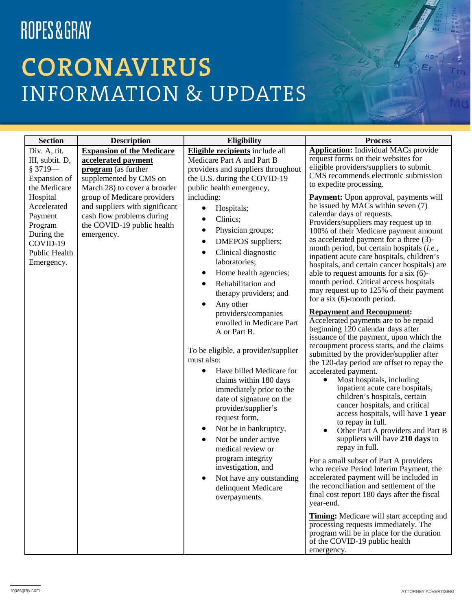# **CORONAVIRUS INFORMATION & UPDATES**

| <b>Section</b>              | <b>Description</b>                                          | Eligibility                                       | <b>Process</b>                                                                            |
|-----------------------------|-------------------------------------------------------------|---------------------------------------------------|-------------------------------------------------------------------------------------------|
| Div. A, tit.                | <b>Expansion of the Medicare</b>                            | <b>Eligible recipients</b> include all            | <b>Application:</b> Individual MACs provide                                               |
| III, subtit. D,             | accelerated payment                                         | Medicare Part A and Part B                        | request forms on their websites for                                                       |
| $$3719-$                    | program (as further                                         | providers and suppliers throughout                | eligible providers/suppliers to submit.<br>CMS recommends electronic submission           |
| Expansion of                | supplemented by CMS on                                      | the U.S. during the COVID-19                      | to expedite processing.                                                                   |
| the Medicare                | March 28) to cover a broader                                | public health emergency,                          |                                                                                           |
| Hospital<br>Accelerated     | group of Medicare providers                                 | including:                                        | <b>Payment:</b> Upon approval, payments will<br>be issued by MACs within seven (7)        |
| Payment                     | and suppliers with significant<br>cash flow problems during | Hospitals;                                        | calendar days of requests.                                                                |
| Program                     | the COVID-19 public health                                  | Clinics;                                          | Providers/suppliers may request up to                                                     |
| During the                  | emergency.                                                  | Physician groups;<br>$\bullet$                    | 100% of their Medicare payment amount                                                     |
| COVID-19                    |                                                             | DMEPOS suppliers;<br>٠                            | as accelerated payment for a three (3)-<br>month period, but certain hospitals (i.e.,     |
| Public Health<br>Emergency. |                                                             | Clinical diagnostic<br>laboratories;              | inpatient acute care hospitals, children's                                                |
|                             |                                                             | Home health agencies;<br>$\bullet$                | hospitals, and certain cancer hospitals) are<br>able to request amounts for a six $(6)$ - |
|                             |                                                             | Rehabilitation and                                | month period. Critical access hospitals<br>may request up to 125% of their payment        |
|                             |                                                             | therapy providers; and<br>Any other<br>$\bullet$  | for a six $(6)$ -month period.                                                            |
|                             |                                                             | providers/companies                               | <b>Repayment and Recoupment:</b>                                                          |
|                             |                                                             | enrolled in Medicare Part                         | Accelerated payments are to be repaid                                                     |
|                             |                                                             | A or Part B.                                      | beginning 120 calendar days after<br>issuance of the payment, upon which the              |
|                             |                                                             |                                                   | recoupment process starts, and the claims                                                 |
|                             |                                                             | To be eligible, a provider/supplier<br>must also: | submitted by the provider/supplier after<br>the 120-day period are offset to repay the    |
|                             |                                                             | Have billed Medicare for                          | accelerated payment.                                                                      |
|                             |                                                             | claims within 180 days                            | Most hospitals, including                                                                 |
|                             |                                                             | immediately prior to the                          | inpatient acute care hospitals,                                                           |
|                             |                                                             | date of signature on the                          | children's hospitals, certain<br>cancer hospitals, and critical                           |
|                             |                                                             | provider/supplier's                               | access hospitals, will have 1 year                                                        |
|                             |                                                             | request form,                                     | to repay in full.                                                                         |
|                             |                                                             | Not be in bankruptcy,                             | Other Part A providers and Part B                                                         |
|                             |                                                             | Not be under active                               | suppliers will have 210 days to<br>repay in full.                                         |
|                             |                                                             | medical review or<br>program integrity            |                                                                                           |
|                             |                                                             | investigation, and                                | For a small subset of Part A providers<br>who receive Period Interim Payment, the         |
|                             |                                                             | Not have any outstanding                          | accelerated payment will be included in                                                   |
|                             |                                                             | delinquent Medicare                               | the reconciliation and settlement of the                                                  |
|                             |                                                             | overpayments.                                     | final cost report 180 days after the fiscal                                               |
|                             |                                                             |                                                   | year-end.                                                                                 |
|                             |                                                             |                                                   | <b>Timing:</b> Medicare will start accepting and                                          |
|                             |                                                             |                                                   | processing requests immediately. The<br>program will be in place for the duration         |
|                             |                                                             |                                                   | of the COVID-19 public health                                                             |
|                             |                                                             |                                                   | emergency.                                                                                |